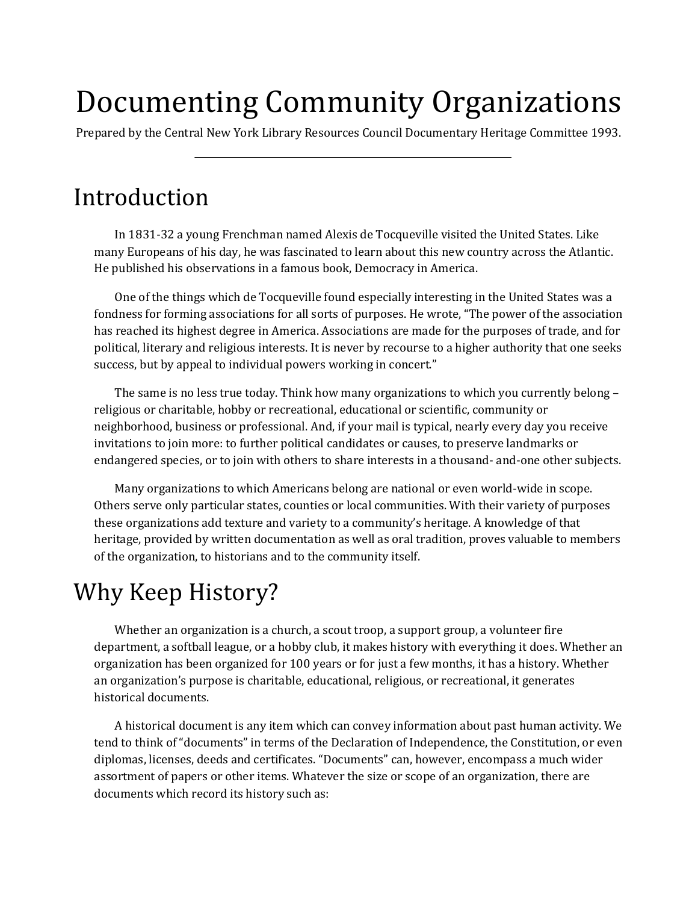# Documenting Community Organizations

Prepared by the Central New York Library Resources Council Documentary Heritage Committee 1993.

### Introduction

In 1831-32 a young Frenchman named Alexis de Tocqueville visited the United States. Like many Europeans of his day, he was fascinated to learn about this new country across the Atlantic. He published his observations in a famous book, Democracy in America.

One of the things which de Tocqueville found especially interesting in the United States was a fondness for forming associations for all sorts of purposes. He wrote, "The power of the association has reached its highest degree in America. Associations are made for the purposes of trade, and for political, literary and religious interests. It is never by recourse to a higher authority that one seeks success, but by appeal to individual powers working in concert."

The same is no less true today. Think how many organizations to which you currently belong – religious or charitable, hobby or recreational, educational or scientific, community or neighborhood, business or professional. And, if your mail is typical, nearly every day you receive invitations to join more: to further political candidates or causes, to preserve landmarks or endangered species, or to join with others to share interests in a thousand- and-one other subjects.

Many organizations to which Americans belong are national or even world-wide in scope. Others serve only particular states, counties or local communities. With their variety of purposes these organizations add texture and variety to a community's heritage. A knowledge of that heritage, provided by written documentation as well as oral tradition, proves valuable to members of the organization, to historians and to the community itself.

## Why Keep History?

Whether an organization is a church, a scout troop, a support group, a volunteer fire department, a softball league, or a hobby club, it makes history with everything it does. Whether an organization has been organized for 100 years or for just a few months, it has a history. Whether an organization's purpose is charitable, educational, religious, or recreational, it generates historical documents.

A historical document is any item which can convey information about past human activity. We tend to think of "documents" in terms of the Declaration of Independence, the Constitution, or even diplomas, licenses, deeds and certificates. "Documents" can, however, encompass a much wider assortment of papers or other items. Whatever the size or scope of an organization, there are documents which record its history such as: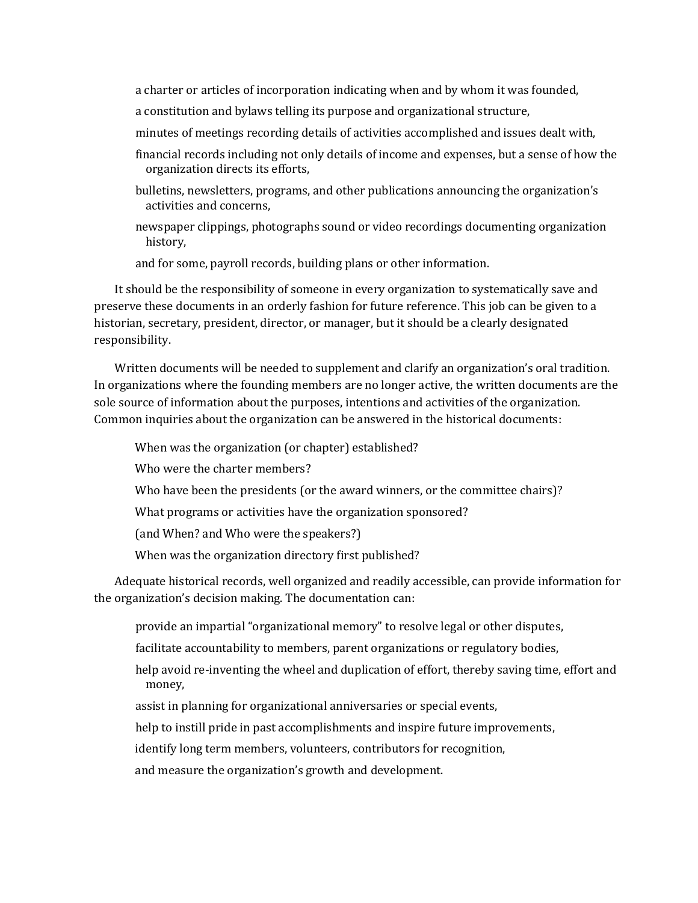- a charter or articles of incorporation indicating when and by whom it was founded,
- a constitution and bylaws telling its purpose and organizational structure,
- minutes of meetings recording details of activities accomplished and issues dealt with,
- financial records including not only details of income and expenses, but a sense of how the organization directs its efforts,
- bulletins, newsletters, programs, and other publications announcing the organization's activities and concerns,
- newspaper clippings, photographs sound or video recordings documenting organization history,
- and for some, payroll records, building plans or other information.

It should be the responsibility of someone in every organization to systematically save and preserve these documents in an orderly fashion for future reference. This job can be given to a historian, secretary, president, director, or manager, but it should be a clearly designated responsibility.

Written documents will be needed to supplement and clarify an organization's oral tradition. In organizations where the founding members are no longer active, the written documents are the sole source of information about the purposes, intentions and activities of the organization. Common inquiries about the organization can be answered in the historical documents:

- When was the organization (or chapter) established?
- Who were the charter members?
- Who have been the presidents (or the award winners, or the committee chairs)?
- What programs or activities have the organization sponsored?
- (and When? and Who were the speakers?)
- When was the organization directory first published?

Adequate historical records, well organized and readily accessible, can provide information for the organization's decision making. The documentation can:

- provide an impartial "organizational memory" to resolve legal or other disputes,
- facilitate accountability to members, parent organizations or regulatory bodies,
- help avoid re-inventing the wheel and duplication of effort, thereby saving time, effort and money,
- assist in planning for organizational anniversaries or special events,
- help to instill pride in past accomplishments and inspire future improvements,
- identify long term members, volunteers, contributors for recognition,
- and measure the organization's growth and development.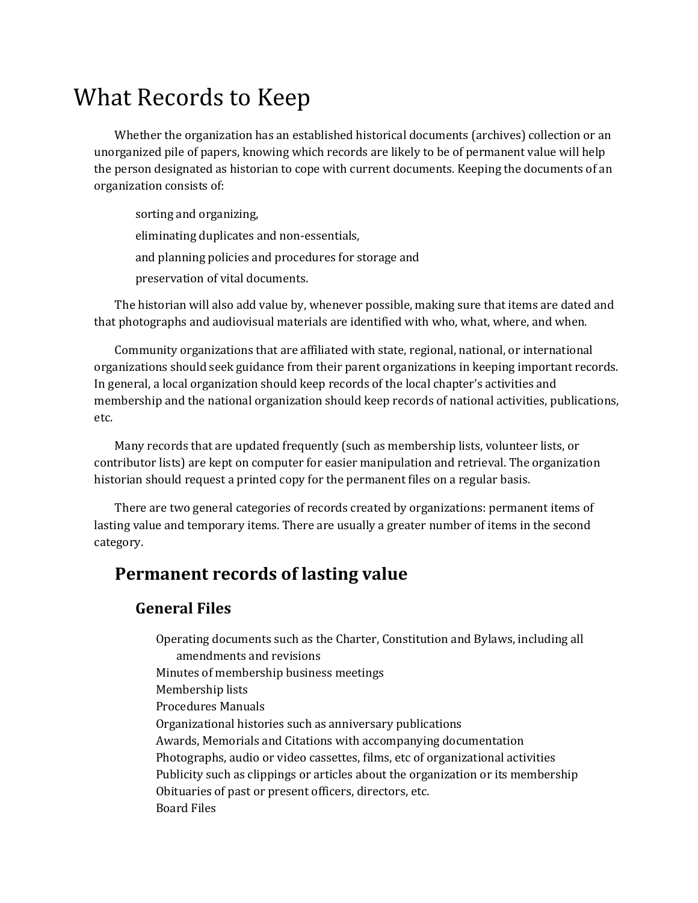### What Records to Keep

Whether the organization has an established historical documents (archives) collection or an unorganized pile of papers, knowing which records are likely to be of permanent value will help the person designated as historian to cope with current documents. Keeping the documents of an organization consists of:

sorting and organizing,

eliminating duplicates and non-essentials,

and planning policies and procedures for storage and

preservation of vital documents.

The historian will also add value by, whenever possible, making sure that items are dated and that photographs and audiovisual materials are identified with who, what, where, and when.

Community organizations that are affiliated with state, regional, national, or international organizations should seek guidance from their parent organizations in keeping important records. In general, a local organization should keep records of the local chapter's activities and membership and the national organization should keep records of national activities, publications, etc.

Many records that are updated frequently (such as membership lists, volunteer lists, or contributor lists) are kept on computer for easier manipulation and retrieval. The organization historian should request a printed copy for the permanent files on a regular basis.

There are two general categories of records created by organizations: permanent items of lasting value and temporary items. There are usually a greater number of items in the second category.

### **Permanent records of lasting value**

#### **General Files**

Operating documents such as the Charter, Constitution and Bylaws, including all amendments and revisions Minutes of membership business meetings Membership lists Procedures Manuals Organizational histories such as anniversary publications Awards, Memorials and Citations with accompanying documentation Photographs, audio or video cassettes, films, etc of organizational activities Publicity such as clippings or articles about the organization or its membership Obituaries of past or present officers, directors, etc. Board Files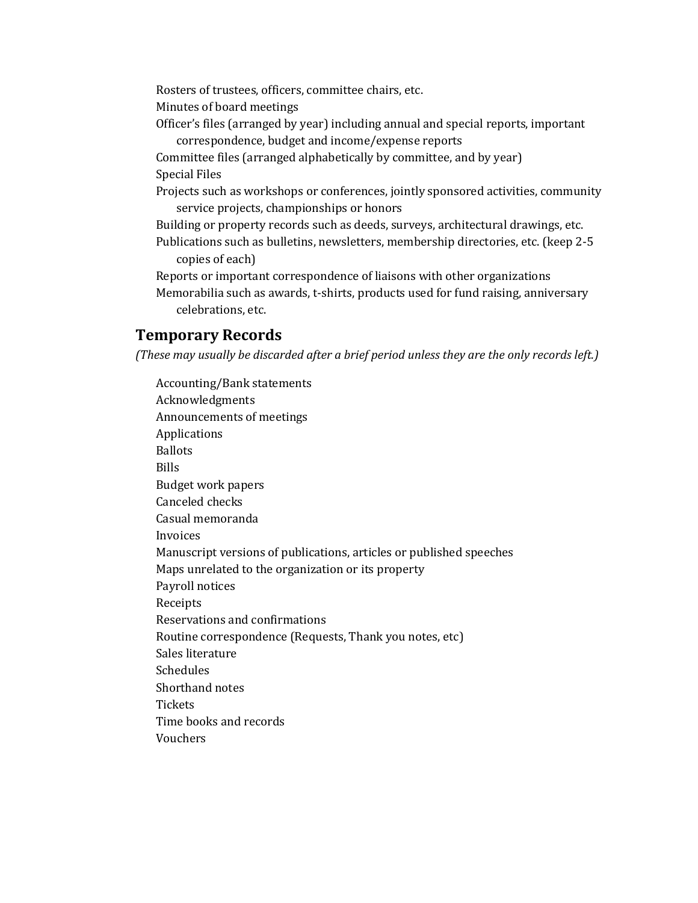Rosters of trustees, officers, committee chairs, etc.

Minutes of board meetings

Officer's files (arranged by year) including annual and special reports, important correspondence, budget and income/expense reports

Committee files (arranged alphabetically by committee, and by year) Special Files

Projects such as workshops or conferences, jointly sponsored activities, community service projects, championships or honors

- Building or property records such as deeds, surveys, architectural drawings, etc.
- Publications such as bulletins, newsletters, membership directories, etc. (keep 2-5 copies of each)

Reports or important correspondence of liaisons with other organizations Memorabilia such as awards, t-shirts, products used for fund raising, anniversary celebrations, etc.

#### **Temporary Records**

*(These may usually be discarded after a brief period unless they are the only records left.)*

Accounting/Bank statements Acknowledgments Announcements of meetings Applications Ballots Bills Budget work papers Canceled checks Casual memoranda Invoices Manuscript versions of publications, articles or published speeches Maps unrelated to the organization or its property Payroll notices Receipts Reservations and confirmations Routine correspondence (Requests, Thank you notes, etc) Sales literature Schedules Shorthand notes **Tickets** Time books and records Vouchers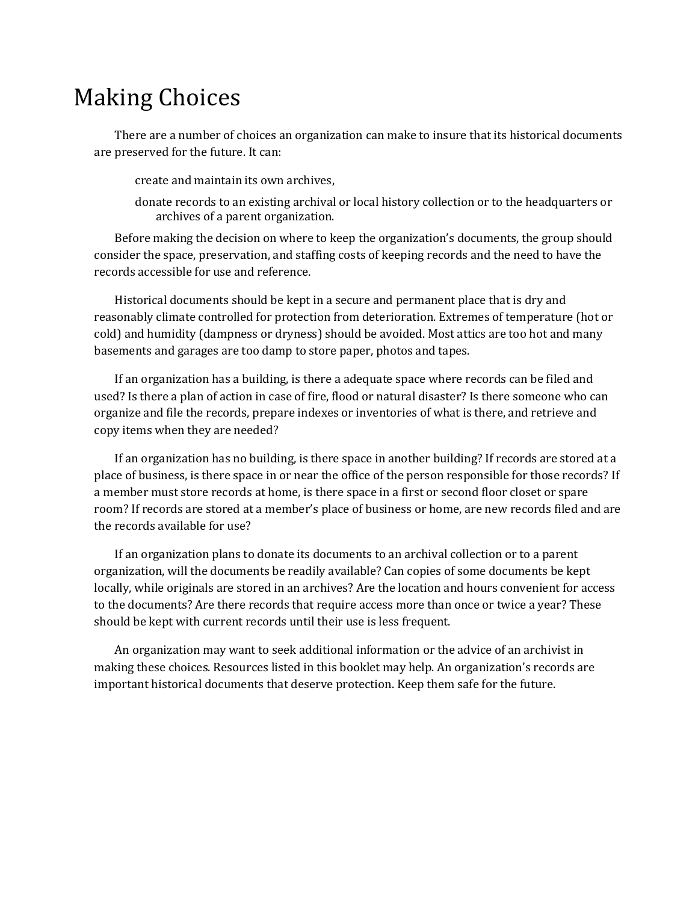### Making Choices

There are a number of choices an organization can make to insure that its historical documents are preserved for the future. It can:

create and maintain its own archives,

donate records to an existing archival or local history collection or to the headquarters or archives of a parent organization.

Before making the decision on where to keep the organization's documents, the group should consider the space, preservation, and staffing costs of keeping records and the need to have the records accessible for use and reference.

Historical documents should be kept in a secure and permanent place that is dry and reasonably climate controlled for protection from deterioration. Extremes of temperature (hot or cold) and humidity (dampness or dryness) should be avoided. Most attics are too hot and many basements and garages are too damp to store paper, photos and tapes.

If an organization has a building, is there a adequate space where records can be filed and used? Is there a plan of action in case of fire, flood or natural disaster? Is there someone who can organize and file the records, prepare indexes or inventories of what is there, and retrieve and copy items when they are needed?

If an organization has no building, is there space in another building? If records are stored at a place of business, is there space in or near the office of the person responsible for those records? If a member must store records at home, is there space in a first or second floor closet or spare room? If records are stored at a member's place of business or home, are new records filed and are the records available for use?

If an organization plans to donate its documents to an archival collection or to a parent organization, will the documents be readily available? Can copies of some documents be kept locally, while originals are stored in an archives? Are the location and hours convenient for access to the documents? Are there records that require access more than once or twice a year? These should be kept with current records until their use is less frequent.

An organization may want to seek additional information or the advice of an archivist in making these choices. Resources listed in this booklet may help. An organization's records are important historical documents that deserve protection. Keep them safe for the future.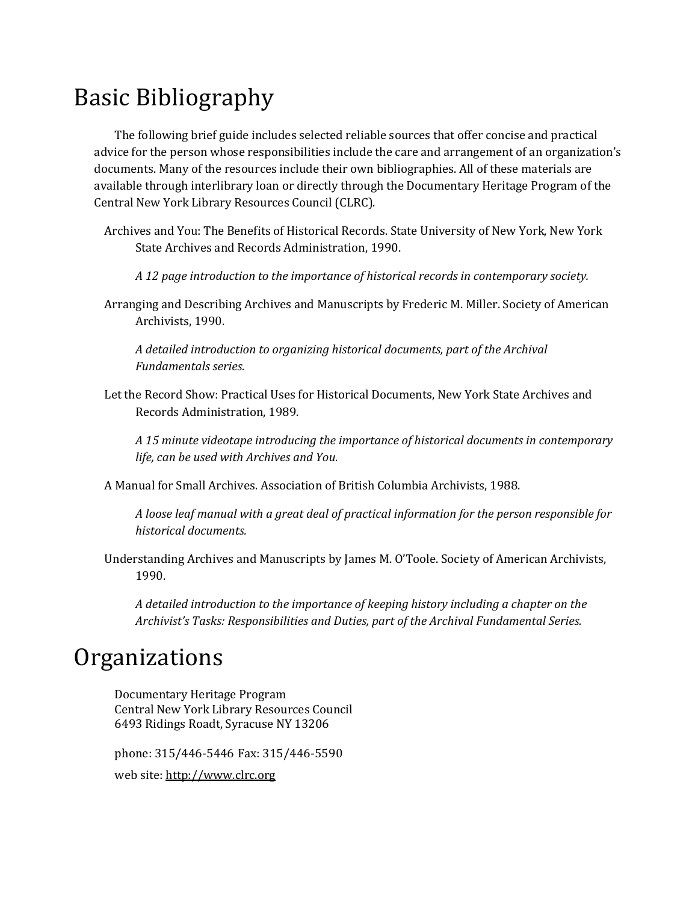# Basic Bibliography

The following brief guide includes selected reliable sources that offer concise and practical advice for the person whose responsibilities include the care and arrangement of an organization's documents. Many of the resources include their own bibliographies. All of these materials are available through interlibrary loan or directly through the Documentary Heritage Program of the Central New York Library Resources Council (CLRC).

- Archives and You: The Benefits of Historical Records. State University of New York, New York State Archives and Records Administration, 1990.
	- *A 12 page introduction to the importance of historical records in contemporary society.*
- Arranging and Describing Archives and Manuscripts by Frederic M. Miller. Society of American Archivists, 1990.

*A detailed introduction to organizing historical documents, part of the Archival Fundamentals series.*

Let the Record Show: Practical Uses for Historical Documents, New York State Archives and Records Administration, 1989.

*A 15 minute videotape introducing the importance of historical documents in contemporary life, can be used with Archives and You.*

A Manual for Small Archives. Association of British Columbia Archivists, 1988.

*A loose leaf manual with a great deal of practical information for the person responsible for historical documents.*

Understanding Archives and Manuscripts by James M. O'Toole. Society of American Archivists, 1990.

*A detailed introduction to the importance of keeping history including a chapter on the Archivist's Tasks: Responsibilities and Duties, part of the Archival Fundamental Series.*

### **Organizations**

Documentary Heritage Program Central New York Library Resources Council 6493 Ridings Roadt, Syracuse NY 13206

phone: 315/446-5446 Fax: 315/446-5590 web site[: http://www.clrc.org](http://www.clrc.org/)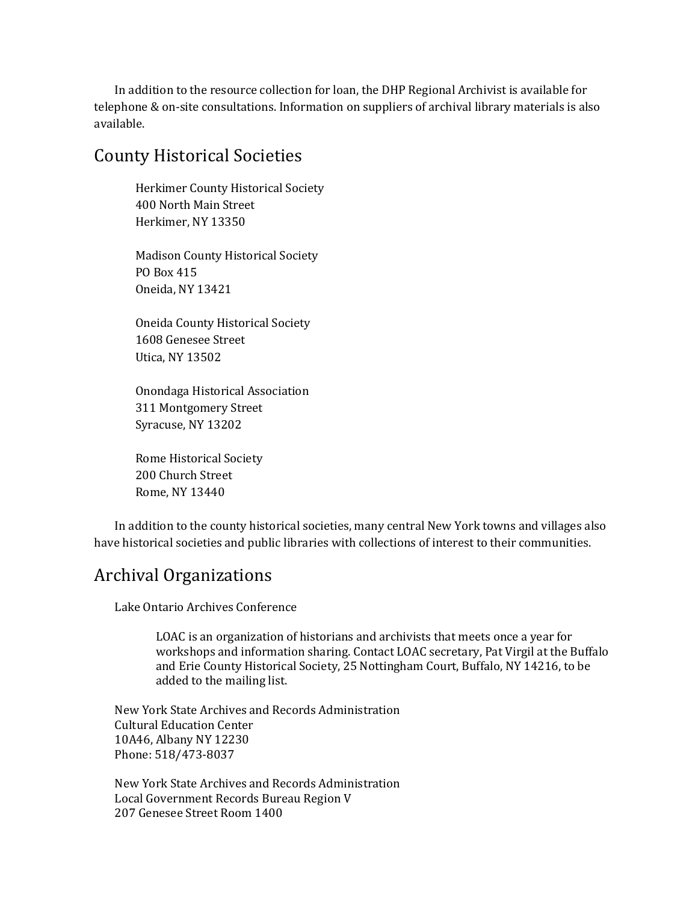In addition to the resource collection for loan, the DHP Regional Archivist is available for telephone & on-site consultations. Information on suppliers of archival library materials is also available.

#### County Historical Societies

Herkimer County Historical Society 400 North Main Street Herkimer, NY 13350

Madison County Historical Society PO Box 415 Oneida, NY 13421

Oneida County Historical Society 1608 Genesee Street Utica, NY 13502

Onondaga Historical Association 311 Montgomery Street Syracuse, NY 13202

Rome Historical Society 200 Church Street Rome, NY 13440

In addition to the county historical societies, many central New York towns and villages also have historical societies and public libraries with collections of interest to their communities.

### Archival Organizations

Lake Ontario Archives Conference

LOAC is an organization of historians and archivists that meets once a year for workshops and information sharing. Contact LOAC secretary, Pat Virgil at the Buffalo and Erie County Historical Society, 25 Nottingham Court, Buffalo, NY 14216, to be added to the mailing list.

New York State Archives and Records Administration Cultural Education Center 10A46, Albany NY 12230 Phone: 518/473-8037

New York State Archives and Records Administration Local Government Records Bureau Region V 207 Genesee Street Room 1400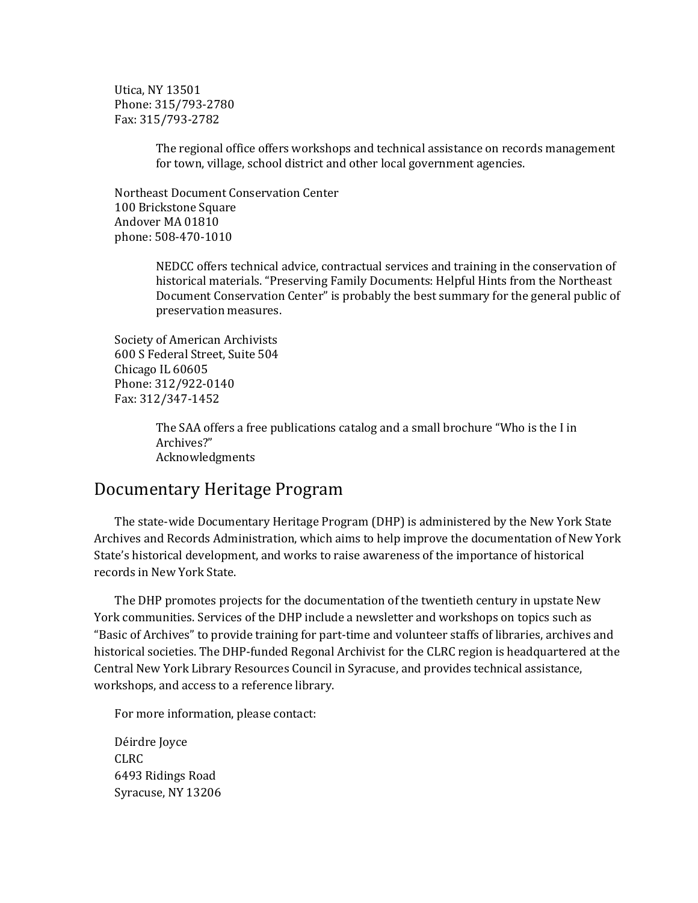Utica, NY 13501 Phone: 315/793-2780 Fax: 315/793-2782

> The regional office offers workshops and technical assistance on records management for town, village, school district and other local government agencies.

Northeast Document Conservation Center 100 Brickstone Square Andover MA 01810 phone: 508-470-1010

> NEDCC offers technical advice, contractual services and training in the conservation of historical materials. "Preserving Family Documents: Helpful Hints from the Northeast Document Conservation Center" is probably the best summary for the general public of preservation measures.

Society of American Archivists 600 S Federal Street, Suite 504 Chicago IL 60605 Phone: 312/922-0140 Fax: 312/347-1452

> The SAA offers a free publications catalog and a small brochure "Who is the I in Archives?" Acknowledgments

#### Documentary Heritage Program

The state-wide Documentary Heritage Program (DHP) is administered by the New York State Archives and Records Administration, which aims to help improve the documentation of New York State's historical development, and works to raise awareness of the importance of historical records in New York State.

The DHP promotes projects for the documentation of the twentieth century in upstate New York communities. Services of the DHP include a newsletter and workshops on topics such as "Basic of Archives" to provide training for part-time and volunteer staffs of libraries, archives and historical societies. The DHP-funded Regonal Archivist for the CLRC region is headquartered at the Central New York Library Resources Council in Syracuse, and provides technical assistance, workshops, and access to a reference library.

For more information, please contact:

Déirdre Joyce CLRC 6493 Ridings Road Syracuse, NY 13206